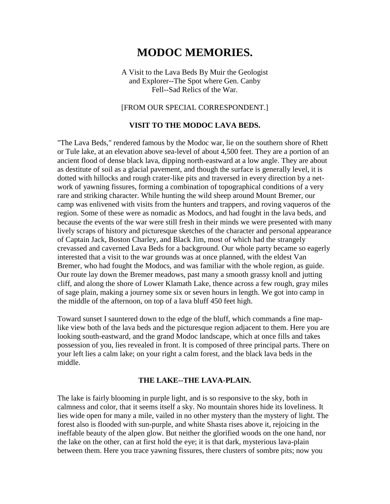# **MODOC MEMORIES.**

A Visit to the Lava Beds By Muir the Geologist and Explorer--The Spot where Gen. Canby Fell--Sad Relics of the War.

### [FROM OUR SPECIAL CORRESPONDENT.]

#### **VISIT TO THE MODOC LAVA BEDS.**

"The Lava Beds," rendered famous by the Modoc war, lie on the southern shore of Rhett or Tule lake, at an elevation above sea-level of about 4,500 feet. They are a portion of an ancient flood of dense black lava, dipping north-eastward at a low angle. They are about as destitute of soil as a glacial pavement, and though the surface is generally level, it is dotted with hillocks and rough crater-like pits and traversed in every direction by a network of yawning fissures, forming a combination of topographical conditions of a very rare and striking character. While hunting the wild sheep around Mount Bremer, our camp was enlivened with visits from the hunters and trappers, and roving vaqueros of the region. Some of these were as nomadic as Modocs, and had fought in the lava beds, and because the events of the war were still fresh in their minds we were presented with many lively scraps of history and picturesque sketches of the character and personal appearance of Captain Jack, Boston Charley, and Black Jim, most of which had the strangely crevassed and caverned Lava Beds for a background. Our whole party became so eagerly interested that a visit to the war grounds was at once planned, with the eldest Van Bremer, who had fought the Modocs, and was familiar with the whole region, as guide. Our route lay down the Bremer meadows, past many a smooth grassy knoll and jutting cliff, and along the shore of Lower Klamath Lake, thence across a few rough, gray miles of sage plain, making a journey some six or seven hours in length. We got into camp in the middle of the afternoon, on top of a lava bluff 450 feet high.

Toward sunset I sauntered down to the edge of the bluff, which commands a fine maplike view both of the lava beds and the picturesque region adjacent to them. Here you are looking south-eastward, and the grand Modoc landscape, which at once fills and takes possession of you, lies revealed in front. It is composed of three principal parts. There on your left lies a calm lake; on your right a calm forest, and the black lava beds in the middle.

#### **THE LAKE--THE LAVA-PLAIN.**

The lake is fairly blooming in purple light, and is so responsive to the sky, both in calmness and color, that it seems itself a sky. No mountain shores hide its loveliness. It lies wide open for many a mile, vailed in no other mystery than the mystery of light. The forest also is flooded with sun-purple, and white Shasta rises above it, rejoicing in the ineffable beauty of the alpen glow. But neither the glorified woods on the one hand, nor the lake on the other, can at first hold the eye; it is that dark, mysterious lava-plain between them. Here you trace yawning fissures, there clusters of sombre pits; now you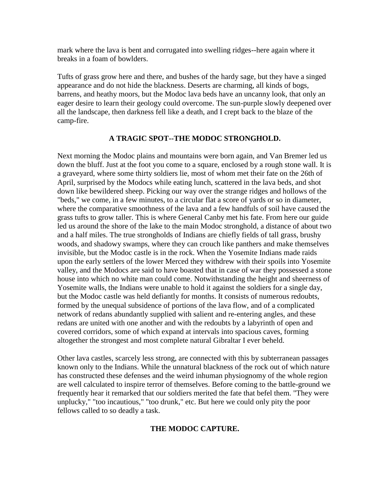mark where the lava is bent and corrugated into swelling ridges--here again where it breaks in a foam of bowlders.

Tufts of grass grow here and there, and bushes of the hardy sage, but they have a singed appearance and do not hide the blackness. Deserts are charming, all kinds of bogs, barrens, and heathy moors, but the Modoc lava beds have an uncanny look, that only an eager desire to learn their geology could overcome. The sun-purple slowly deepened over all the landscape, then darkness fell like a death, and I crept back to the blaze of the camp-fire.

## **A TRAGIC SPOT--THE MODOC STRONGHOLD.**

Next morning the Modoc plains and mountains were born again, and Van Bremer led us down the bluff. Just at the foot you come to a square, enclosed by a rough stone wall. It is a graveyard, where some thirty soldiers lie, most of whom met their fate on the 26th of April, surprised by the Modocs while eating lunch, scattered in the lava beds, and shot down like bewildered sheep. Picking our way over the strange ridges and hollows of the "beds," we come, in a few minutes, to a circular flat a score of yards or so in diameter, where the comparative smoothness of the lava and a few handfuls of soil have caused the grass tufts to grow taller. This is where General Canby met his fate. From here our guide led us around the shore of the lake to the main Modoc stronghold, a distance of about two and a half miles. The true strongholds of Indians are chiefly fields of tall grass, brushy woods, and shadowy swamps, where they can crouch like panthers and make themselves invisible, but the Modoc castle is in the rock. When the Yosemite Indians made raids upon the early settlers of the lower Merced they withdrew with their spoils into Yosemite valley, and the Modocs are said to have boasted that in case of war they possessed a stone house into which no white man could come. Notwithstanding the height and sheerness of Yosemite walls, the Indians were unable to hold it against the soldiers for a single day, but the Modoc castle was held defiantly for months. It consists of numerous redoubts, formed by the unequal subsidence of portions of the lava flow, and of a complicated network of redans abundantly supplied with salient and re-entering angles, and these redans are united with one another and with the redoubts by a labyrinth of open and covered corridors, some of which expand at intervals into spacious caves, forming altogether the strongest and most complete natural Gibraltar I ever beheld.

Other lava castles, scarcely less strong, are connected with this by subterranean passages known only to the Indians. While the unnatural blackness of the rock out of which nature has constructed these defenses and the weird inhuman physiognomy of the whole region are well calculated to inspire terror of themselves. Before coming to the battle-ground we frequently hear it remarked that our soldiers merited the fate that befel them. "They were unplucky," "too incautious," "too drunk," etc. But here we could only pity the poor fellows called to so deadly a task.

# **THE MODOC CAPTURE.**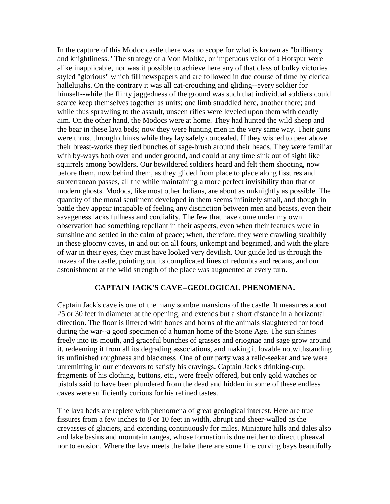In the capture of this Modoc castle there was no scope for what is known as "brilliancy and knightliness." The strategy of a Von Moltke, or impetuous valor of a Hotspur were alike inapplicable, nor was it possible to achieve here any of that class of bulky victories styled "glorious" which fill newspapers and are followed in due course of time by clerical hallelujahs. On the contrary it was all cat-crouching and gliding--every soldier for himself--while the flinty jaggedness of the ground was such that individual soldiers could scarce keep themselves together as units; one limb straddled here, another there; and while thus sprawling to the assault, unseen rifles were leveled upon them with deadly aim. On the other hand, the Modocs were at home. They had hunted the wild sheep and the bear in these lava beds; now they were hunting men in the very same way. Their guns were thrust through chinks while they lay safely concealed. If they wished to peer above their breast-works they tied bunches of sage-brush around their heads. They were familiar with by-ways both over and under ground, and could at any time sink out of sight like squirrels among bowlders. Our bewildered soldiers heard and felt them shooting, now before them, now behind them, as they glided from place to place along fissures and subterranean passes, all the while maintaining a more perfect invisibility than that of modern ghosts. Modocs, like most other Indians, are about as unknightly as possible. The quantity of the moral sentiment developed in them seems infinitely small, and though in battle they appear incapable of feeling any distinction between men and beasts, even their savageness lacks fullness and cordiality. The few that have come under my own observation had something repellant in their aspects, even when their features were in sunshine and settled in the calm of peace; when, therefore, they were crawling stealthily in these gloomy caves, in and out on all fours, unkempt and begrimed, and with the glare of war in their eyes, they must have looked very devilish. Our guide led us through the mazes of the castle, pointing out its complicated lines of redoubts and redans, and our astonishment at the wild strength of the place was augmented at every turn.

## **CAPTAIN JACK'S CAVE--GEOLOGICAL PHENOMENA.**

Captain Jack's cave is one of the many sombre mansions of the castle. It measures about 25 or 30 feet in diameter at the opening, and extends but a short distance in a horizontal direction. The floor is littered with bones and horns of the animals slaughtered for food during the war--a good specimen of a human home of the Stone Age. The sun shines freely into its mouth, and graceful bunches of grasses and eriognae and sage grow around it, redeeming it from all its degrading associations, and making it lovable notwithstanding its unfinished roughness and blackness. One of our party was a relic-seeker and we were unremitting in our endeavors to satisfy his cravings. Captain Jack's drinking-cup, fragments of his clothing, buttons, etc., were freely offered, but only gold watches or pistols said to have been plundered from the dead and hidden in some of these endless caves were sufficiently curious for his refined tastes.

The lava beds are replete with phenomena of great geological interest. Here are true fissures from a few inches to 8 or 10 feet in width, abrupt and sheer-walled as the crevasses of glaciers, and extending continuously for miles. Miniature hills and dales also and lake basins and mountain ranges, whose formation is due neither to direct upheaval nor to erosion. Where the lava meets the lake there are some fine curving bays beautifully